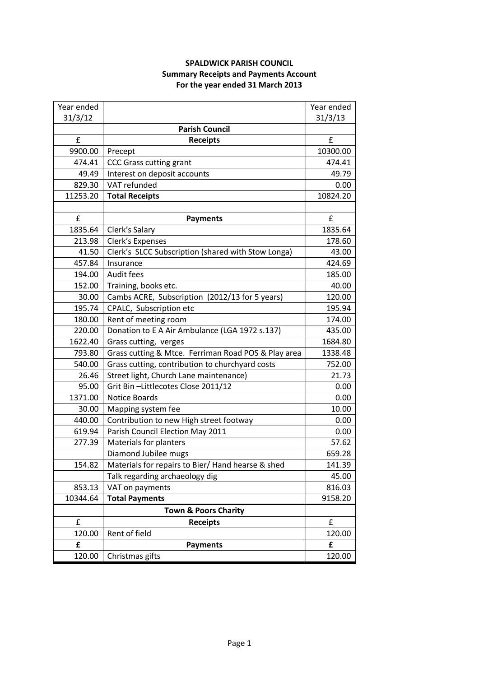## **SPALDWICK PARISH COUNCIL Summary Receipts and Payments Account For the year ended 31 March 2013**

| Year ended |                                                     | Year ended |
|------------|-----------------------------------------------------|------------|
| 31/3/12    |                                                     | 31/3/13    |
|            | <b>Parish Council</b>                               |            |
| £          | <b>Receipts</b>                                     | £          |
| 9900.00    | Precept                                             | 10300.00   |
| 474.41     | <b>CCC Grass cutting grant</b>                      | 474.41     |
| 49.49      | Interest on deposit accounts                        | 49.79      |
| 829.30     | VAT refunded                                        | 0.00       |
| 11253.20   | <b>Total Receipts</b>                               | 10824.20   |
|            |                                                     |            |
| £          | <b>Payments</b>                                     | £          |
| 1835.64    | Clerk's Salary                                      | 1835.64    |
| 213.98     | Clerk's Expenses                                    | 178.60     |
| 41.50      | Clerk's SLCC Subscription (shared with Stow Longa)  | 43.00      |
| 457.84     | Insurance                                           | 424.69     |
| 194.00     | Audit fees                                          | 185.00     |
| 152.00     | Training, books etc.                                | 40.00      |
| 30.00      | Cambs ACRE, Subscription (2012/13 for 5 years)      | 120.00     |
| 195.74     | CPALC, Subscription etc                             | 195.94     |
| 180.00     | Rent of meeting room                                | 174.00     |
| 220.00     | Donation to E A Air Ambulance (LGA 1972 s.137)      | 435.00     |
| 1622.40    | Grass cutting, verges                               | 1684.80    |
| 793.80     | Grass cutting & Mtce. Ferriman Road POS & Play area | 1338.48    |
| 540.00     | Grass cutting, contribution to churchyard costs     | 752.00     |
| 26.46      | Street light, Church Lane maintenance)              | 21.73      |
| 95.00      | Grit Bin-Littlecotes Close 2011/12                  | 0.00       |
| 1371.00    | <b>Notice Boards</b>                                | 0.00       |
| 30.00      | Mapping system fee                                  | 10.00      |
| 440.00     | Contribution to new High street footway             | 0.00       |
| 619.94     | Parish Council Election May 2011                    | 0.00       |
| 277.39     | <b>Materials for planters</b>                       | 57.62      |
|            | Diamond Jubilee mugs                                | 659.28     |
| 154.82     | Materials for repairs to Bier/ Hand hearse & shed   | 141.39     |
|            | Talk regarding archaeology dig                      | 45.00      |
| 853.13     | VAT on payments                                     | 816.03     |
| 10344.64   | <b>Total Payments</b>                               | 9158.20    |
|            | <b>Town &amp; Poors Charity</b>                     |            |
| £          | <b>Receipts</b>                                     | £          |
| 120.00     | Rent of field                                       | 120.00     |
| £          | <b>Payments</b>                                     | £          |
| 120.00     | Christmas gifts                                     | 120.00     |